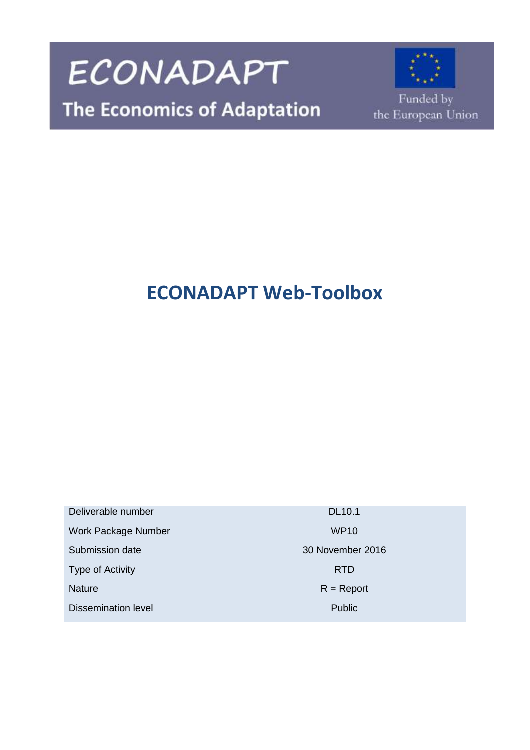

# **ECONADAPT Web-Toolbox**

Deliverable number DL10.1 Work Package Number WP10 Submission date 30 November 2016 Type of Activity **RTD** Nature R = Report Dissemination level **Public** Public **Public**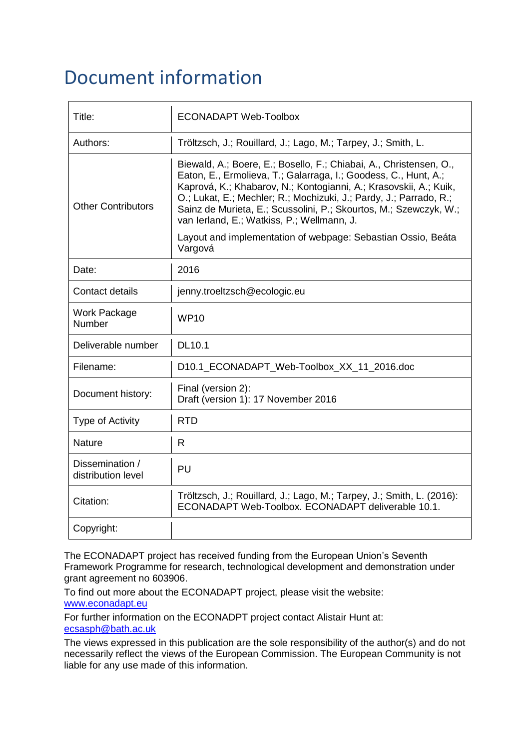# Document information

| Title:                                | <b>ECONADAPT Web-Toolbox</b>                                                                                                                                                                                                                                                                                                                                                                        |
|---------------------------------------|-----------------------------------------------------------------------------------------------------------------------------------------------------------------------------------------------------------------------------------------------------------------------------------------------------------------------------------------------------------------------------------------------------|
| Authors:                              | Tröltzsch, J.; Rouillard, J.; Lago, M.; Tarpey, J.; Smith, L.                                                                                                                                                                                                                                                                                                                                       |
| <b>Other Contributors</b>             | Biewald, A.; Boere, E.; Bosello, F.; Chiabai, A., Christensen, O.,<br>Eaton, E., Ermolieva, T.; Galarraga, I.; Goodess, C., Hunt, A.;<br>Kaprová, K.; Khabarov, N.; Kontogianni, A.; Krasovskii, A.; Kuik,<br>O.; Lukat, E.; Mechler; R.; Mochizuki, J.; Pardy, J.; Parrado, R.;<br>Sainz de Murieta, E.; Scussolini, P.; Skourtos, M.; Szewczyk, W.;<br>van Ierland, E.; Watkiss, P.; Wellmann, J. |
|                                       | Layout and implementation of webpage: Sebastian Ossio, Beáta<br>Vargová                                                                                                                                                                                                                                                                                                                             |
| Date:                                 | 2016                                                                                                                                                                                                                                                                                                                                                                                                |
| <b>Contact details</b>                | jenny.troeltzsch@ecologic.eu                                                                                                                                                                                                                                                                                                                                                                        |
| Work Package<br><b>Number</b>         | WP <sub>10</sub>                                                                                                                                                                                                                                                                                                                                                                                    |
| Deliverable number                    | <b>DL10.1</b>                                                                                                                                                                                                                                                                                                                                                                                       |
| Filename:                             | D10.1_ECONADAPT_Web-Toolbox_XX_11_2016.doc                                                                                                                                                                                                                                                                                                                                                          |
| Document history:                     | Final (version 2):<br>Draft (version 1): 17 November 2016                                                                                                                                                                                                                                                                                                                                           |
| Type of Activity                      | <b>RTD</b>                                                                                                                                                                                                                                                                                                                                                                                          |
| <b>Nature</b>                         | R.                                                                                                                                                                                                                                                                                                                                                                                                  |
| Dissemination /<br>distribution level | PU                                                                                                                                                                                                                                                                                                                                                                                                  |
| Citation:                             | Tröltzsch, J.; Rouillard, J.; Lago, M.; Tarpey, J.; Smith, L. (2016):<br>ECONADAPT Web-Toolbox. ECONADAPT deliverable 10.1.                                                                                                                                                                                                                                                                         |
| Copyright:                            |                                                                                                                                                                                                                                                                                                                                                                                                     |

The ECONADAPT project has received funding from the European Union's Seventh Framework Programme for research, technological development and demonstration under grant agreement no 603906.

To find out more about the ECONADAPT project, please visit the website: [www.econadapt.eu](http://www.econadapt.eu/)

For further information on the ECONADPT project contact Alistair Hunt at: [ecsasph@bath.ac.uk](mailto:ecsasph@bath.ac.uk)

The views expressed in this publication are the sole responsibility of the author(s) and do not necessarily reflect the views of the European Commission. The European Community is not liable for any use made of this information.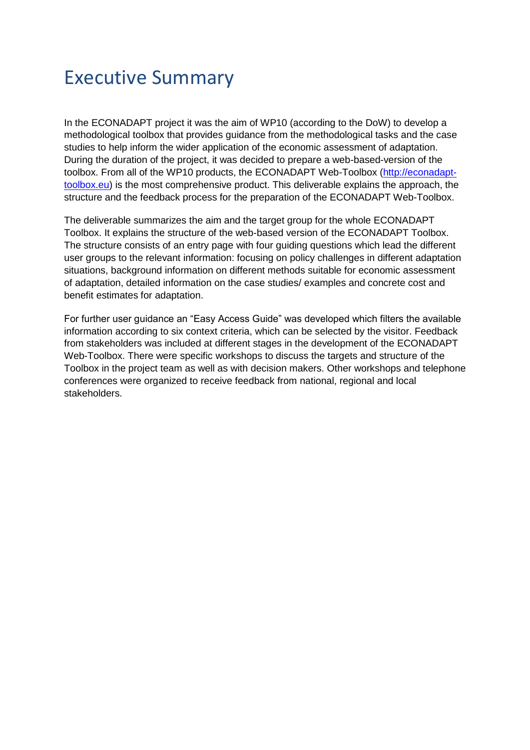# Executive Summary

In the ECONADAPT project it was the aim of WP10 (according to the DoW) to develop a methodological toolbox that provides guidance from the methodological tasks and the case studies to help inform the wider application of the economic assessment of adaptation. During the duration of the project, it was decided to prepare a web-based-version of the toolbox. From all of the WP10 products, the ECONADAPT Web-Toolbox [\(http://econadapt](http://econadapt-toolbox.eu/)[toolbox.eu\)](http://econadapt-toolbox.eu/) is the most comprehensive product. This deliverable explains the approach, the structure and the feedback process for the preparation of the ECONADAPT Web-Toolbox.

The deliverable summarizes the aim and the target group for the whole ECONADAPT Toolbox. It explains the structure of the web-based version of the ECONADAPT Toolbox. The structure consists of an entry page with four guiding questions which lead the different user groups to the relevant information: focusing on policy challenges in different adaptation situations, background information on different methods suitable for economic assessment of adaptation, detailed information on the case studies/ examples and concrete cost and benefit estimates for adaptation.

For further user guidance an "Easy Access Guide" was developed which filters the available information according to six context criteria, which can be selected by the visitor. Feedback from stakeholders was included at different stages in the development of the ECONADAPT Web-Toolbox. There were specific workshops to discuss the targets and structure of the Toolbox in the project team as well as with decision makers. Other workshops and telephone conferences were organized to receive feedback from national, regional and local stakeholders.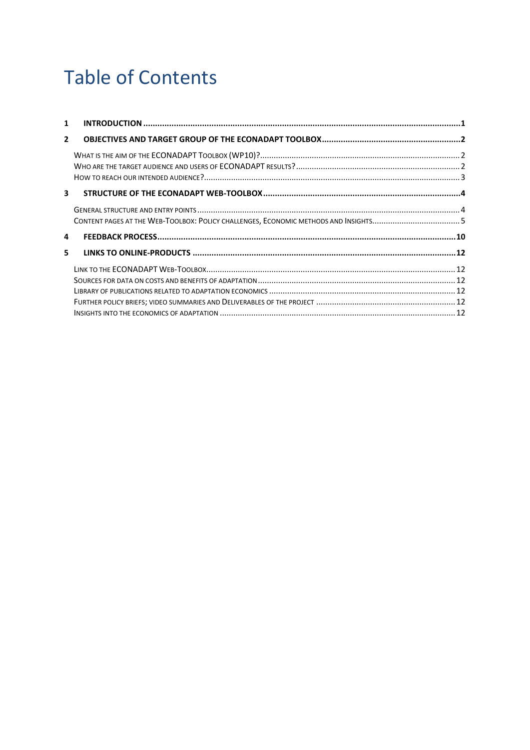# **Table of Contents**

| $\mathbf{1}$   |  |
|----------------|--|
| $\overline{2}$ |  |
|                |  |
|                |  |
| 3              |  |
|                |  |
|                |  |
| 4              |  |
| 5.             |  |
|                |  |
|                |  |
|                |  |
|                |  |
|                |  |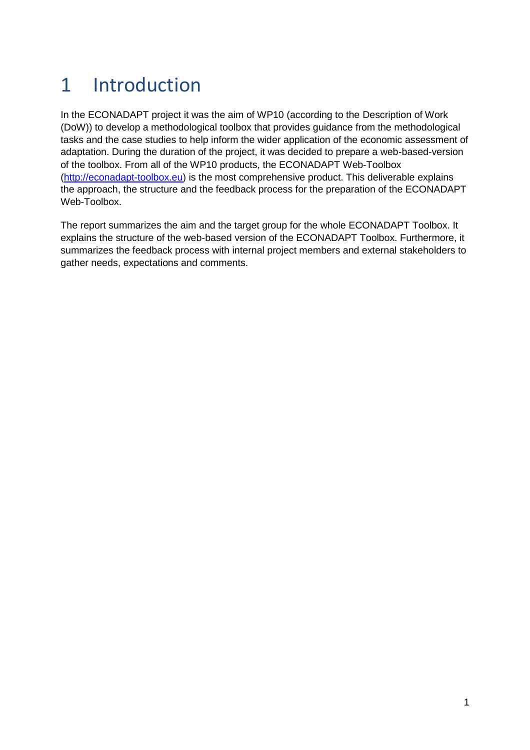# <span id="page-4-0"></span>1 Introduction

In the ECONADAPT project it was the aim of WP10 (according to the Description of Work (DoW)) to develop a methodological toolbox that provides guidance from the methodological tasks and the case studies to help inform the wider application of the economic assessment of adaptation. During the duration of the project, it was decided to prepare a web-based-version of the toolbox. From all of the WP10 products, the ECONADAPT Web-Toolbox [\(http://econadapt-toolbox.eu\)](http://econadapt-toolbox.eu/) is the most comprehensive product. This deliverable explains the approach, the structure and the feedback process for the preparation of the ECONADAPT Web-Toolbox.

The report summarizes the aim and the target group for the whole ECONADAPT Toolbox. It explains the structure of the web-based version of the ECONADAPT Toolbox. Furthermore, it summarizes the feedback process with internal project members and external stakeholders to gather needs, expectations and comments.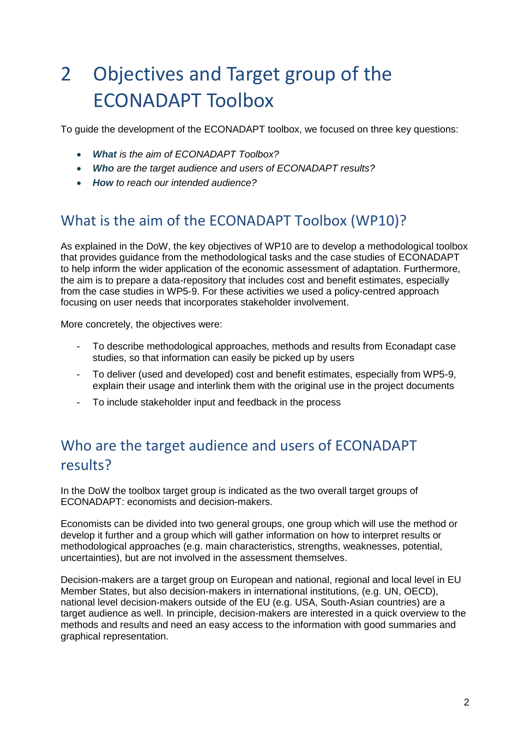# <span id="page-5-0"></span>2 Objectives and Target group of the ECONADAPT Toolbox

To guide the development of the ECONADAPT toolbox, we focused on three key questions:

- *What is the aim of ECONADAPT Toolbox?*
- *Who are the target audience and users of ECONADAPT results?*
- *How to reach our intended audience?*

## <span id="page-5-1"></span>What is the aim of the ECONADAPT Toolbox (WP10)?

As explained in the DoW, the key objectives of WP10 are to develop a methodological toolbox that provides guidance from the methodological tasks and the case studies of ECONADAPT to help inform the wider application of the economic assessment of adaptation. Furthermore, the aim is to prepare a data-repository that includes cost and benefit estimates, especially from the case studies in WP5-9. For these activities we used a policy-centred approach focusing on user needs that incorporates stakeholder involvement.

More concretely, the objectives were:

- To describe methodological approaches, methods and results from Econadapt case studies, so that information can easily be picked up by users
- To deliver (used and developed) cost and benefit estimates, especially from WP5-9, explain their usage and interlink them with the original use in the project documents
- To include stakeholder input and feedback in the process

## <span id="page-5-2"></span>Who are the target audience and users of ECONADAPT results?

In the DoW the toolbox target group is indicated as the two overall target groups of ECONADAPT: economists and decision-makers.

Economists can be divided into two general groups, one group which will use the method or develop it further and a group which will gather information on how to interpret results or methodological approaches (e.g. main characteristics, strengths, weaknesses, potential, uncertainties), but are not involved in the assessment themselves.

Decision-makers are a target group on European and national, regional and local level in EU Member States, but also decision-makers in international institutions, (e.g. UN, OECD), national level decision-makers outside of the EU (e.g. USA, South-Asian countries) are a target audience as well. In principle, decision-makers are interested in a quick overview to the methods and results and need an easy access to the information with good summaries and graphical representation.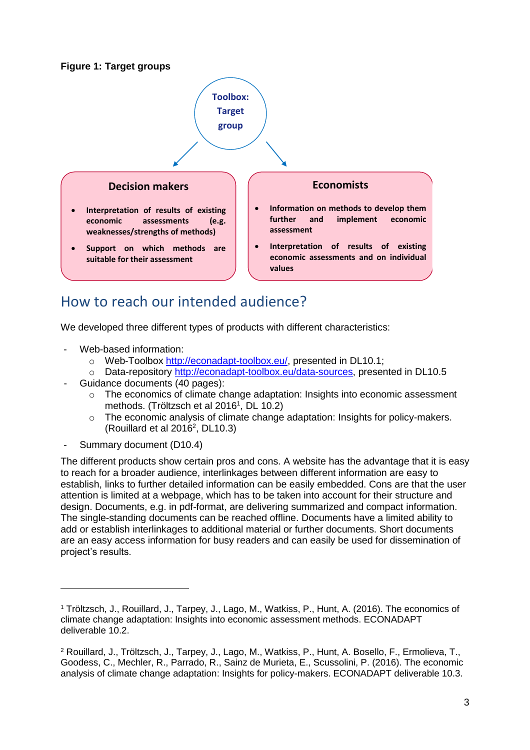#### **Figure 1: Target groups**



## <span id="page-6-0"></span>How to reach our intended audience?

We developed three different types of products with different characteristics:

- Web-based information:
	- o Web-Toolbox [http://econadapt-toolbox.eu/,](http://econadapt-toolbox.eu/) presented in DL10.1;
	- o Data-repository [http://econadapt-toolbox.eu/data-sources,](http://econadapt-toolbox.eu/data-sources) presented in DL10.5
- Guidance documents (40 pages):
	- o The economics of climate change adaptation: Insights into economic assessment methods. (Tröltzsch et al 2016<sup>1</sup>, DL 10.2)
	- $\circ$  The economic analysis of climate change adaptation: Insights for policy-makers. (Rouillard et al  $2016^2$ , DL10.3)
- Summary document (D10.4)

The different products show certain pros and cons. A website has the advantage that it is easy to reach for a broader audience, interlinkages between different information are easy to establish, links to further detailed information can be easily embedded. Cons are that the user attention is limited at a webpage, which has to be taken into account for their structure and design. Documents, e.g. in pdf-format, are delivering summarized and compact information. The single-standing documents can be reached offline. Documents have a limited ability to add or establish interlinkages to additional material or further documents. Short documents are an easy access information for busy readers and can easily be used for dissemination of project's results.

<sup>1</sup> Tröltzsch, J., Rouillard, J., Tarpey, J., Lago, M., Watkiss, P., Hunt, A. (2016). The economics of climate change adaptation: Insights into economic assessment methods. ECONADAPT deliverable 10.2.

<sup>2</sup> Rouillard, J., Tröltzsch, J., Tarpey, J., Lago, M., Watkiss, P., Hunt, A. Bosello, F., Ermolieva, T., Goodess, C., Mechler, R., Parrado, R., Sainz de Murieta, E., Scussolini, P. (2016). The economic analysis of climate change adaptation: Insights for policy-makers. ECONADAPT deliverable 10.3.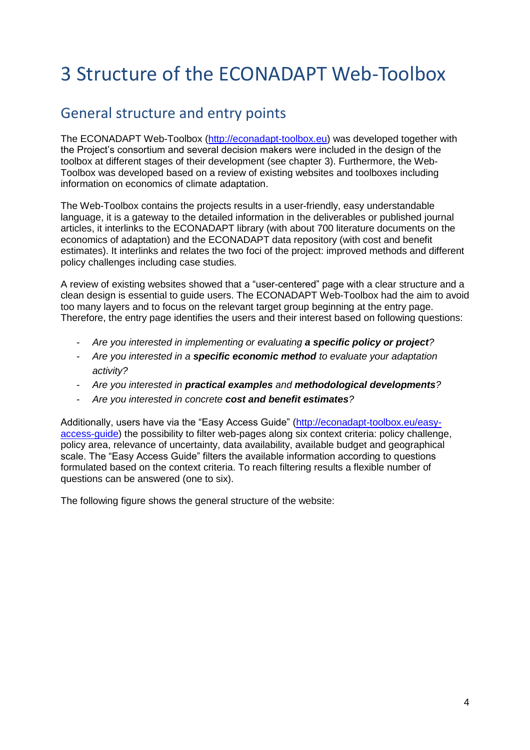# <span id="page-7-0"></span>3 Structure of the ECONADAPT Web-Toolbox

## <span id="page-7-1"></span>General structure and entry points

The ECONADAPT Web-Toolbox [\(http://econadapt-toolbox.eu\)](http://econadapt-toolbox.eu/) was developed together with the Project's consortium and several decision makers were included in the design of the toolbox at different stages of their development (see chapter 3). Furthermore, the Web-Toolbox was developed based on a review of existing websites and toolboxes including information on economics of climate adaptation.

The Web-Toolbox contains the projects results in a user-friendly, easy understandable language, it is a gateway to the detailed information in the deliverables or published journal articles, it interlinks to the ECONADAPT library (with about 700 literature documents on the economics of adaptation) and the ECONADAPT data repository (with cost and benefit estimates). It interlinks and relates the two foci of the project: improved methods and different policy challenges including case studies.

A review of existing websites showed that a "user-centered" page with a clear structure and a clean design is essential to guide users. The ECONADAPT Web-Toolbox had the aim to avoid too many layers and to focus on the relevant target group beginning at the entry page. Therefore, the entry page identifies the users and their interest based on following questions:

- *Are you interested in implementing or evaluating a specific policy or project?*
- *Are you interested in a specific economic method to evaluate your adaptation activity?*
- *Are you interested in practical examples and methodological developments?*
- *Are you interested in concrete cost and benefit estimates?*

Additionally, users have via the "Easy Access Guide" [\(http://econadapt-toolbox.eu/easy](http://econadapt-toolbox.eu/easy-access-guide)[access-guide\)](http://econadapt-toolbox.eu/easy-access-guide) the possibility to filter web-pages along six context criteria: policy challenge, policy area, relevance of uncertainty, data availability, available budget and geographical scale. The "Easy Access Guide" filters the available information according to questions formulated based on the context criteria. To reach filtering results a flexible number of questions can be answered (one to six).

The following figure shows the general structure of the website: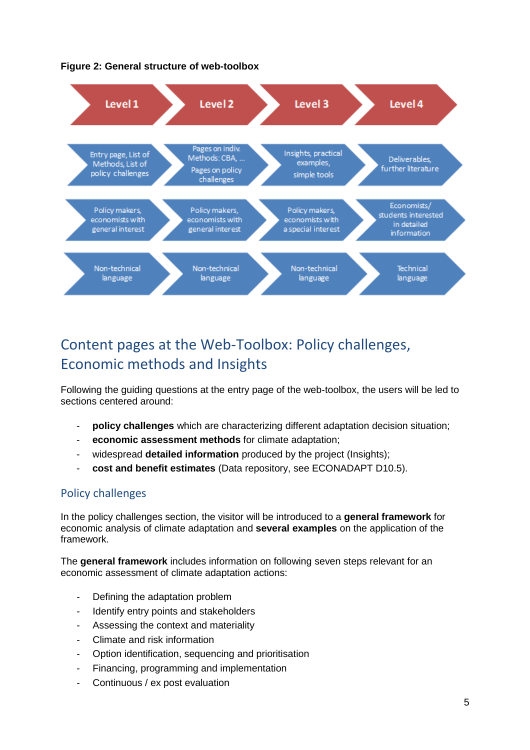



## <span id="page-8-0"></span>Content pages at the Web-Toolbox: Policy challenges, Economic methods and Insights

Following the guiding questions at the entry page of the web-toolbox, the users will be led to sections centered around:

- policy challenges which are characterizing different adaptation decision situation;
- **economic assessment methods** for climate adaptation;
- widespread **detailed information** produced by the project (Insights);
- **cost and benefit estimates** (Data repository, see ECONADAPT D10.5).

### Policy challenges

In the policy challenges section, the visitor will be introduced to a **general framework** for economic analysis of climate adaptation and **several examples** on the application of the framework.

The **general framework** includes information on following seven steps relevant for an economic assessment of climate adaptation actions:

- Defining the adaptation problem
- Identify entry points and stakeholders
- Assessing the context and materiality
- Climate and risk information
- Option identification, sequencing and prioritisation
- Financing, programming and implementation
- Continuous / ex post evaluation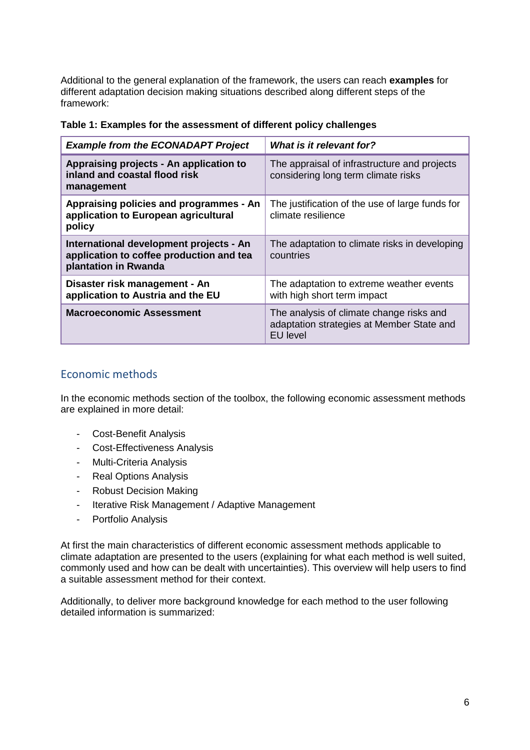Additional to the general explanation of the framework, the users can reach **examples** for different adaptation decision making situations described along different steps of the framework:

| <b>Example from the ECONADAPT Project</b>                                                                   | What is it relevant for?                                                                                 |
|-------------------------------------------------------------------------------------------------------------|----------------------------------------------------------------------------------------------------------|
| Appraising projects - An application to<br>inland and coastal flood risk<br>management                      | The appraisal of infrastructure and projects<br>considering long term climate risks                      |
| Appraising policies and programmes - An<br>application to European agricultural<br>policy                   | The justification of the use of large funds for<br>climate resilience                                    |
| International development projects - An<br>application to coffee production and tea<br>plantation in Rwanda | The adaptation to climate risks in developing<br>countries                                               |
| Disaster risk management - An<br>application to Austria and the EU                                          | The adaptation to extreme weather events<br>with high short term impact                                  |
| <b>Macroeconomic Assessment</b>                                                                             | The analysis of climate change risks and<br>adaptation strategies at Member State and<br><b>EU</b> level |

#### **Table 1: Examples for the assessment of different policy challenges**

#### Economic methods

In the economic methods section of the toolbox, the following economic assessment methods are explained in more detail:

- [Cost-Benefit Analysis](http://econadapt-toolbox.eu/node/12)
- [Cost-Effectiveness Analysis](http://econadapt-toolbox.eu/cost-effectiveness-analysis)
- [Multi-Criteria Analysis](http://econadapt-toolbox.eu/multi-criteria-analysis)
- [Real Options Analysis](http://econadapt-toolbox.eu/real-options-analysis)
- [Robust Decision Making](http://econadapt-toolbox.eu/robust-decision-making)
- [Iterative Risk Management / Adaptive Management](http://econadapt-toolbox.eu/iterative-risk-management-adaptive-management)
- [Portfolio Analysis](http://econadapt-toolbox.eu/portfolio-analysis)

At first the main characteristics of different economic assessment methods applicable to climate adaptation are presented to the users (explaining for what each method is well suited, commonly used and how can be dealt with uncertainties). This overview will help users to find a suitable assessment method for their context.

Additionally, to deliver more background knowledge for each method to the user following detailed information is summarized: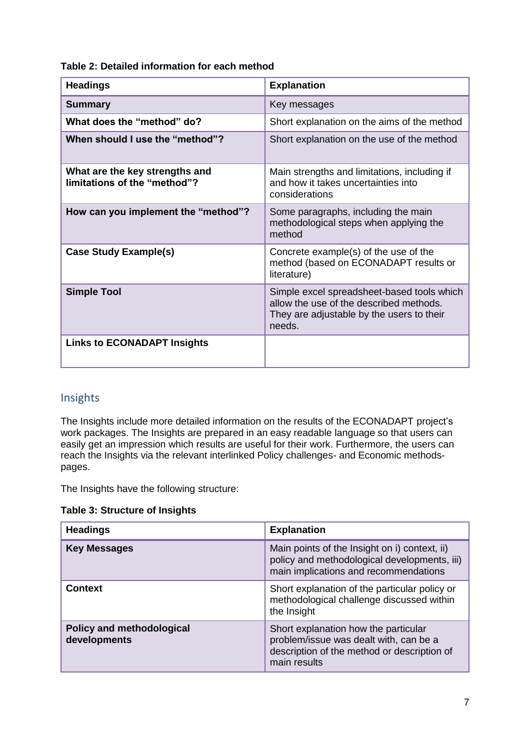**Table 2: Detailed information for each method**

| <b>Headings</b>                                                | <b>Explanation</b>                                                                                                                           |
|----------------------------------------------------------------|----------------------------------------------------------------------------------------------------------------------------------------------|
| <b>Summary</b>                                                 | Key messages                                                                                                                                 |
| What does the "method" do?                                     | Short explanation on the aims of the method                                                                                                  |
| When should I use the "method"?                                | Short explanation on the use of the method                                                                                                   |
| What are the key strengths and<br>limitations of the "method"? | Main strengths and limitations, including if<br>and how it takes uncertainties into<br>considerations                                        |
| How can you implement the "method"?                            | Some paragraphs, including the main<br>methodological steps when applying the<br>method                                                      |
| <b>Case Study Example(s)</b>                                   | Concrete example(s) of the use of the<br>method (based on ECONADAPT results or<br>literature)                                                |
| <b>Simple Tool</b>                                             | Simple excel spreadsheet-based tools which<br>allow the use of the described methods.<br>They are adjustable by the users to their<br>needs. |
| <b>Links to ECONADAPT Insights</b>                             |                                                                                                                                              |

### Insights

The Insights include more detailed information on the results of the ECONADAPT project's work packages. The Insights are prepared in an easy readable language so that users can easily get an impression which results are useful for their work. Furthermore, the users can reach the Insights via the relevant interlinked Policy challenges- and Economic methodspages.

The Insights have the following structure:

**Table 3: Structure of Insights**

| <b>Headings</b>                                  | <b>Explanation</b>                                                                                                                            |
|--------------------------------------------------|-----------------------------------------------------------------------------------------------------------------------------------------------|
| <b>Key Messages</b>                              | Main points of the Insight on i) context, ii)<br>policy and methodological developments, iii)<br>main implications and recommendations        |
| <b>Context</b>                                   | Short explanation of the particular policy or<br>methodological challenge discussed within<br>the Insight                                     |
| <b>Policy and methodological</b><br>developments | Short explanation how the particular<br>problem/issue was dealt with, can be a<br>description of the method or description of<br>main results |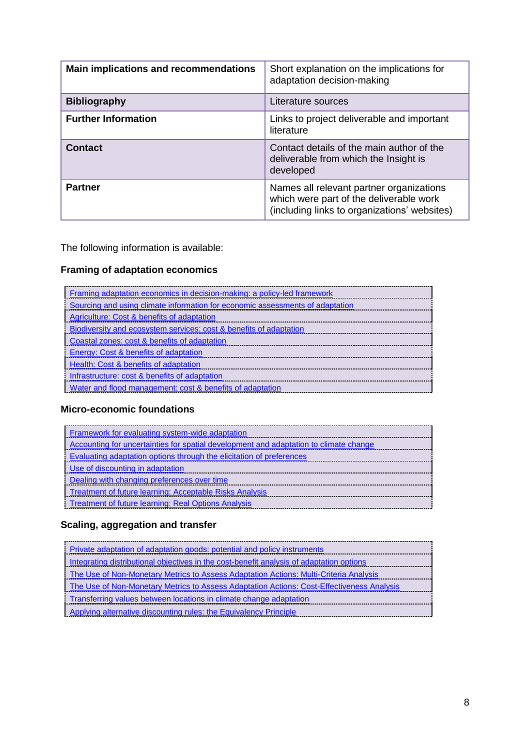| <b>Main implications and recommendations</b> | Short explanation on the implications for<br>adaptation decision-making                                                             |
|----------------------------------------------|-------------------------------------------------------------------------------------------------------------------------------------|
| <b>Bibliography</b>                          | Literature sources                                                                                                                  |
| <b>Further Information</b>                   | Links to project deliverable and important<br>literature                                                                            |
| <b>Contact</b>                               | Contact details of the main author of the<br>deliverable from which the Insight is<br>developed                                     |
| <b>Partner</b>                               | Names all relevant partner organizations<br>which were part of the deliverable work<br>(including links to organizations' websites) |

The following information is available:

### **Framing of adaptation economics**

| Framing adaptation economics in decision-making: a policy-led framework       |
|-------------------------------------------------------------------------------|
| Sourcing and using climate information for economic assessments of adaptation |
| Agriculture: Cost & benefits of adaptation                                    |
| Biodiversity and ecosystem services: cost & benefits of adaptation            |
| Coastal zones: cost & benefits of adaptation                                  |
| Energy: Cost & benefits of adaptation                                         |
| Health: Cost & benefits of adaptation                                         |
| Infrastructure: cost & benefits of adaptation                                 |
| Water and flood management: cost & benefits of adaptation                     |
|                                                                               |

### **Micro-economic foundations**

### **Scaling, aggregation and transfer**

| Private adaptation of adaptation goods: potential and policy instruments                  |
|-------------------------------------------------------------------------------------------|
| Integrating distributional objectives in the cost-benefit analysis of adaptation options  |
| The Use of Non-Monetary Metrics to Assess Adaptation Actions: Multi-Criteria Analysis     |
| The Use of Non-Monetary Metrics to Assess Adaptation Actions: Cost-Effectiveness Analysis |
| Transferring values between locations in climate change adaptation                        |
| Applying alternative discounting rules: the Equivalency Principle                         |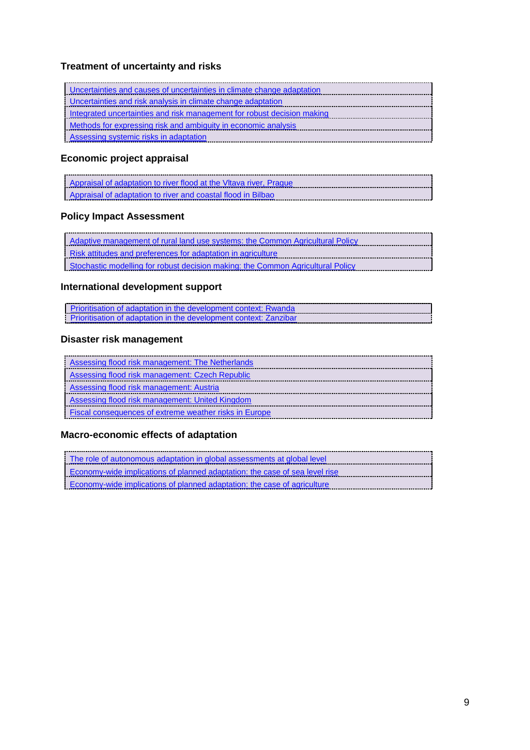### **Treatment of uncertainty and risks**

| Uncertainties and causes of uncertainties in climate change adaptation  |
|-------------------------------------------------------------------------|
| Uncertainties and risk analysis in climate change adaptation            |
| Integrated uncertainties and risk management for robust decision making |
| Methods for expressing risk and ambiguity in economic analysis          |
| Assessing systemic risks in adaptation                                  |
|                                                                         |

### **Economic project appraisal**

| Appraisal of adaptation to river flood at the Vitava river, Prague |
|--------------------------------------------------------------------|
| Appraisal of adaptation to river and coastal flood in Bilbao       |

### **Policy Impact Assessment**

### **International development support**

| Prioritisation of adaptation in the development context: Rwanda   |  |
|-------------------------------------------------------------------|--|
| Prioritisation of adaptation in the development context: Zanzibar |  |

### **Disaster risk management**

| Assessing flood risk management: The Netherlands              |
|---------------------------------------------------------------|
| Assessing flood risk management: Czech Republic               |
| Assessing flood risk management: Austria                      |
| Assessing flood risk management: United Kingdom               |
| <b>Fiscal consequences of extreme weather risks in Europe</b> |

### **Macro-economic effects of adaptation**

| The role of autonomous adaptation in global assessments at global level     |  |  |  |
|-----------------------------------------------------------------------------|--|--|--|
| Economy-wide implications of planned adaptation: the case of sea level rise |  |  |  |
| Economy-wide implications of planned adaptation: the case of agriculture    |  |  |  |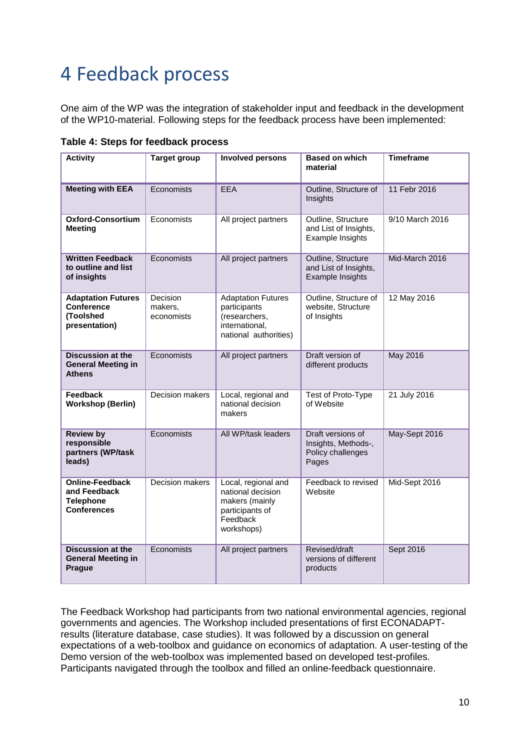# <span id="page-13-0"></span>4 Feedback process

One aim of the WP was the integration of stakeholder input and feedback in the development of the WP10-material. Following steps for the feedback process have been implemented:

| <b>Activity</b>                                                                  | <b>Target group</b>               | <b>Involved persons</b>                                                                                 | <b>Based on which</b><br>material                                      | <b>Timeframe</b> |
|----------------------------------------------------------------------------------|-----------------------------------|---------------------------------------------------------------------------------------------------------|------------------------------------------------------------------------|------------------|
| <b>Meeting with EEA</b>                                                          | Economists                        | <b>EEA</b>                                                                                              | Outline, Structure of<br>Insights                                      | 11 Febr 2016     |
| <b>Oxford-Consortium</b><br><b>Meeting</b>                                       | Economists                        | All project partners                                                                                    | Outline, Structure<br>and List of Insights,<br>Example Insights        | 9/10 March 2016  |
| <b>Written Feedback</b><br>to outline and list<br>of insights                    | Economists                        | All project partners                                                                                    | Outline, Structure<br>and List of Insights,<br>Example Insights        | Mid-March 2016   |
| <b>Adaptation Futures</b><br><b>Conference</b><br>(Toolshed<br>presentation)     | Decision<br>makers,<br>economists | <b>Adaptation Futures</b><br>participants<br>(researchers,<br>international,<br>national authorities)   | Outline, Structure of<br>website, Structure<br>of Insights             | 12 May 2016      |
| <b>Discussion at the</b><br><b>General Meeting in</b><br><b>Athens</b>           | Economists                        | All project partners                                                                                    | Draft version of<br>different products                                 | May 2016         |
| Feedback<br><b>Workshop (Berlin)</b>                                             | Decision makers                   | Local, regional and<br>national decision<br>makers                                                      | Test of Proto-Type<br>of Website                                       | 21 July 2016     |
| <b>Review by</b><br>responsible<br>partners (WP/task<br>leads)                   | Economists                        | All WP/task leaders                                                                                     | Draft versions of<br>Insights, Methods-,<br>Policy challenges<br>Pages | May-Sept 2016    |
| <b>Online-Feedback</b><br>and Feedback<br><b>Telephone</b><br><b>Conferences</b> | <b>Decision makers</b>            | Local, regional and<br>national decision<br>makers (mainly<br>participants of<br>Feedback<br>workshops) | Feedback to revised<br>Website                                         | Mid-Sept 2016    |
| <b>Discussion at the</b><br><b>General Meeting in</b><br>Prague                  | Economists                        | All project partners                                                                                    | Revised/draft<br>versions of different<br>products                     | Sept 2016        |

**Table 4: Steps for feedback process**

The Feedback Workshop had participants from two national environmental agencies, regional governments and agencies. The Workshop included presentations of first ECONADAPTresults (literature database, case studies). It was followed by a discussion on general expectations of a web-toolbox and guidance on economics of adaptation. A user-testing of the Demo version of the web-toolbox was implemented based on developed test-profiles. Participants navigated through the toolbox and filled an online-feedback questionnaire.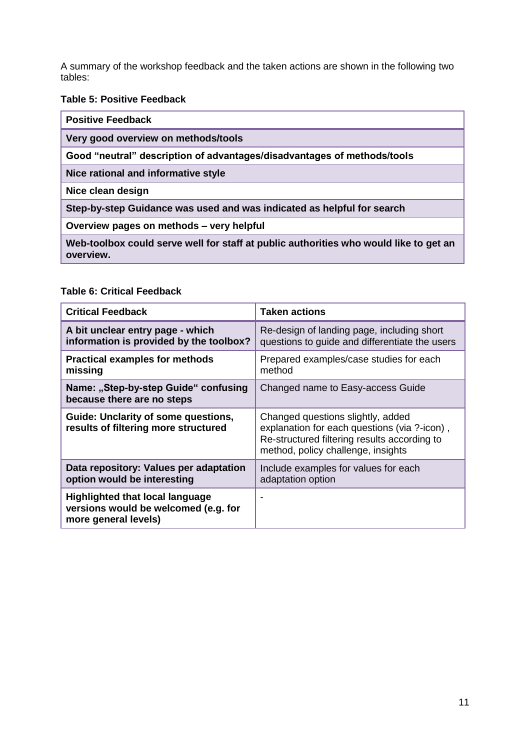A summary of the workshop feedback and the taken actions are shown in the following two tables:

#### **Table 5: Positive Feedback**

| <b>Positive Feedback</b>                                                                           |  |  |
|----------------------------------------------------------------------------------------------------|--|--|
| Very good overview on methods/tools                                                                |  |  |
| Good "neutral" description of advantages/disadvantages of methods/tools                            |  |  |
| Nice rational and informative style                                                                |  |  |
| Nice clean design                                                                                  |  |  |
| Step-by-step Guidance was used and was indicated as helpful for search                             |  |  |
| Overview pages on methods - very helpful                                                           |  |  |
| Web-toolbox could serve well for staff at public authorities who would like to get an<br>overview. |  |  |

#### **Table 6: Critical Feedback**

| <b>Critical Feedback</b>                                                                               | <b>Taken actions</b>                                                                                                                                                    |
|--------------------------------------------------------------------------------------------------------|-------------------------------------------------------------------------------------------------------------------------------------------------------------------------|
| A bit unclear entry page - which<br>information is provided by the toolbox?                            | Re-design of landing page, including short<br>questions to guide and differentiate the users                                                                            |
| <b>Practical examples for methods</b><br>missing                                                       | Prepared examples/case studies for each<br>method                                                                                                                       |
| Name: "Step-by-step Guide" confusing<br>because there are no steps                                     | Changed name to Easy-access Guide                                                                                                                                       |
| <b>Guide: Unclarity of some questions,</b><br>results of filtering more structured                     | Changed questions slightly, added<br>explanation for each questions (via ?-icon),<br>Re-structured filtering results according to<br>method, policy challenge, insights |
| Data repository: Values per adaptation<br>option would be interesting                                  | Include examples for values for each<br>adaptation option                                                                                                               |
| <b>Highlighted that local language</b><br>versions would be welcomed (e.g. for<br>more general levels) |                                                                                                                                                                         |